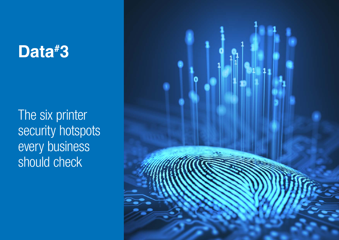# Data#3

The six printer security hotspots every business should check

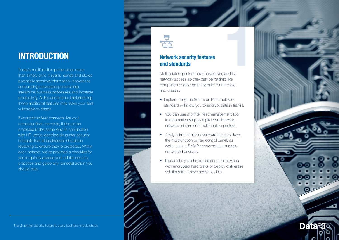# INTRODUCTION

Today's multifunction printer does more than simply print. It scans, sends and stores potentially sensitive information. Innovations surrounding networked printers help streamline b usiness processes and increase productivit y. At the same time, implementing those additional features may leave your fleet vulnerable to attack.

If your printer fleet connects like your computer fleet connects, i t should b e protected in the same way. In conjunction with H P, we've identified six printer security hotspots tha t all businesses s hould be reviewing to ensure they're protected. Within each hotspot, we've provided a checklist for you to quickly assess your printer security practices and guide any remedial action you should take.



# Network security features and standards

Multifunction printers have hard drives and full network security features<br>
and standards<br>
Multifunction printers have hard drives and full<br>
network access so they can be hacked like computers and be an entry point for malware and viruses.<br>• Implementing the 802.1x or IPsec network

- standard will allow you to encrypt data in transit.
- You can use a printer fleet management tool to automatically apply digital certificates to network printers and multifunction printers.
- Apply administration passwords to lock down the multifunction printer control panel, as well as using SNMP passwords to manage networked devices.
- If possible, you should choose print devices with encrypted hard disks or deploy disk erase solutions to remove sensitive data.

**Data** 

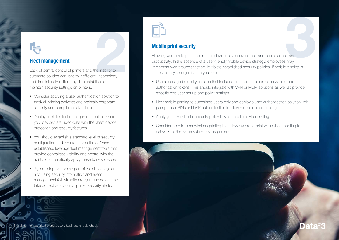# Fleet management

Lack of central control of printers and the inability to automate policies can lead to inefficient, incomplete, and time intensive efforts by IT to establish and ne inability to<br>
ish and<br>
ish and maintain security settings on printers.

- Consider applying a user authentication solution to track all printing activities and maintain corporate security and compliance standards.
- Deploy a printer fleet management tool to ensure your devices are up-to-date with the latest device protection and security features.
- You should establish a standard level of security configuration and secure user policies. Once established, leverage fleet management tools that provide centralised visibility and control with the ability to automatically apply these to new devices.
- By including printers as part of your IT ecosystem, and using security information and event management (SIEM) software, you can detect and take corrective action on printer security alerts.



# Mobile print security

Allowing workers to print from mobile devices is a convenience and can also increase productivity. In the absence of a user-friendly mobile device strategy, employees may implement workarounds that could violate established security policies. If mobile printing is prease<br>3 may<br>3 printing is important to your organisation you should:

- Use a managed mobility solution that includes print client authorisation with secure authorisation tokens. This should integrate with VPN or MDM solutions as well as provide specific end user set-up and policy settings.
- Limit mobile printing to authorised users only and deploy a user authentication solution with passphrase, PINs or LDAP authentication to allow mobile device printing.
- Apply your overall print security policy to your mobile device printing.
- Consider peer-to-peer wireless printing that allows users to print without connecting to the network, or the same subnet as the printers.



Data#:

The six printer security hotspots every business should check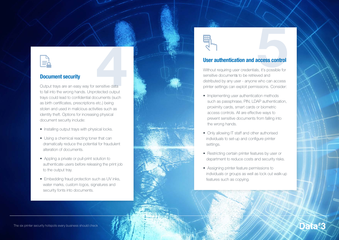

# Document security

Output trays are an easy way for sensitive data to fall into the wrong hands. Unprotected output **Example: 19 Accounting the Confidential Security**<br> **Document security**<br>
Cutput trays are an easy way for sensitive data<br>
to fall into the wrong hands. Unprotected output<br>
trays could lead to confidential documents (such as birth certificates, prescriptions etc.) being stolen and used in malicious activities such as identity theft. Options for increasing physical document s ecurity include:

- Installing output trays with physical locks.
- Using a chemical reacting toner that can dramatically reduce the potential for fraudulent alteration of documents.
- Appling a private or pull-print solution to authenticate users before releasing the print job to the output tray.
- Embedding fraud protection such as UV inks, water marks, custom logos, signatures and security fonts into documents.



# User authentication and access control

Without requiring user credentials, it's possible for sensitive documents to be retrieved and **distributed by any user - anyone who can access**<br>distributed by any user - anyone who can access printer settings can exploit permissions. Consider:

- Implementing user authentication methods such as passphrase, PIN, LDAP authentication, proximity cards, smart cards or biometric access controls. All are effective ways to prevent sensitive documents from falling into the wrong hands.
- Only allowing IT staff and other authorised individuals to set-up and configure printer settings.
- Restricting certain printer features by user or department to reduce costs and security risks.
- Assigning printer feature permissions to individuals or groups as well as lock out walk-up features such as copying.

Data<sup>#</sup>3

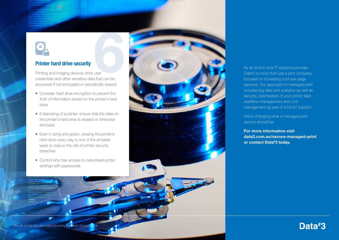# Printer hard drive security

Printing and imaging devices store user credentials and other sensitive data that can be **accessed if not encrypted or periodically erased.**<br> **accessed if not encrypted or periodically erased.** 

- Consider hard drive encryption to prevent the theft of information stored on the printer's hard drive.
- If disposing of a printer, ensure that the data on the printer's hard drive is erased or otherwise removed.
- Even if using encryption, erasing the printer's hard drive every day is one of the simplest ways to reduce the risk of printer security breaches.
- Control who has access to networked printer settings with passwords.



As an end-to-end IT solutions provider,<br>Data#3 is more than just a print company focused on increasing cost-per-page services. Our approach to managed print includes big data and analytics as well as security, optimisation of your printer fleet,<br>workflow management and cost management as part of a full IoT solution.

We're changing what a managed print<br>service should be.

For more information visit data3.com.au/secure-managed-print or contact Data #3 today.

Data#3